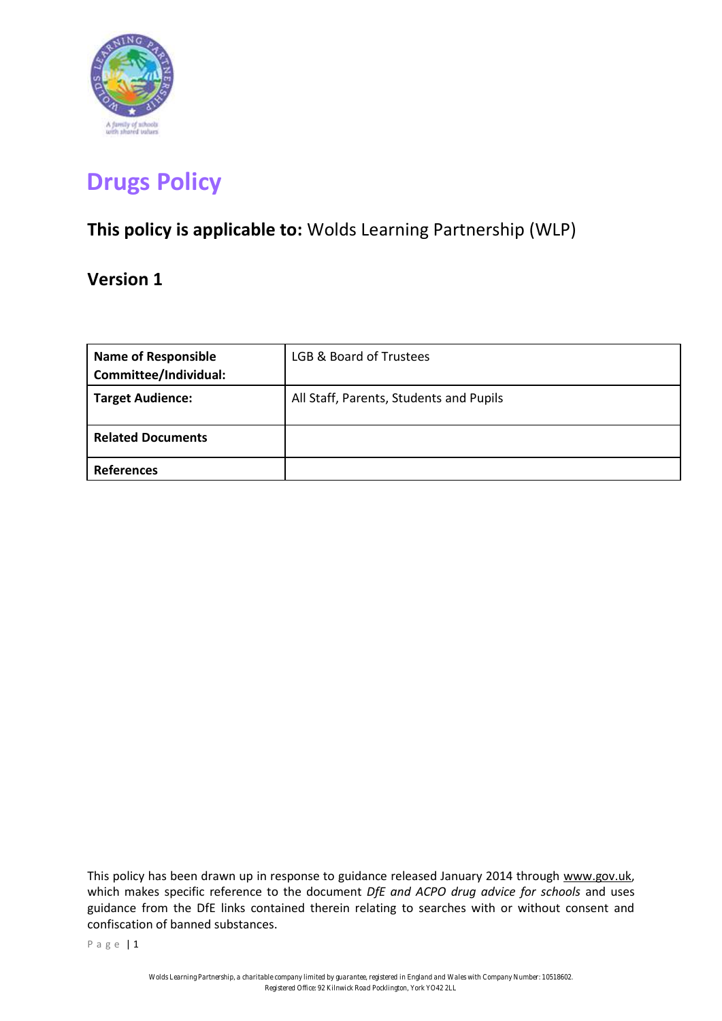

# **Drugs Policy**

# **This policy is applicable to:** Wolds Learning Partnership (WLP)

# **Version 1**

| <b>Name of Responsible</b><br>Committee/Individual: | LGB & Board of Trustees                 |
|-----------------------------------------------------|-----------------------------------------|
| <b>Target Audience:</b>                             | All Staff, Parents, Students and Pupils |
| <b>Related Documents</b>                            |                                         |
| <b>References</b>                                   |                                         |

This policy has been drawn up in response to guidance released January 2014 through www.gov.uk, which makes specific reference to the document *DfE and ACPO drug advice for schools* and uses guidance from the DfE links contained therein relating to searches with or without consent and confiscation of banned substances.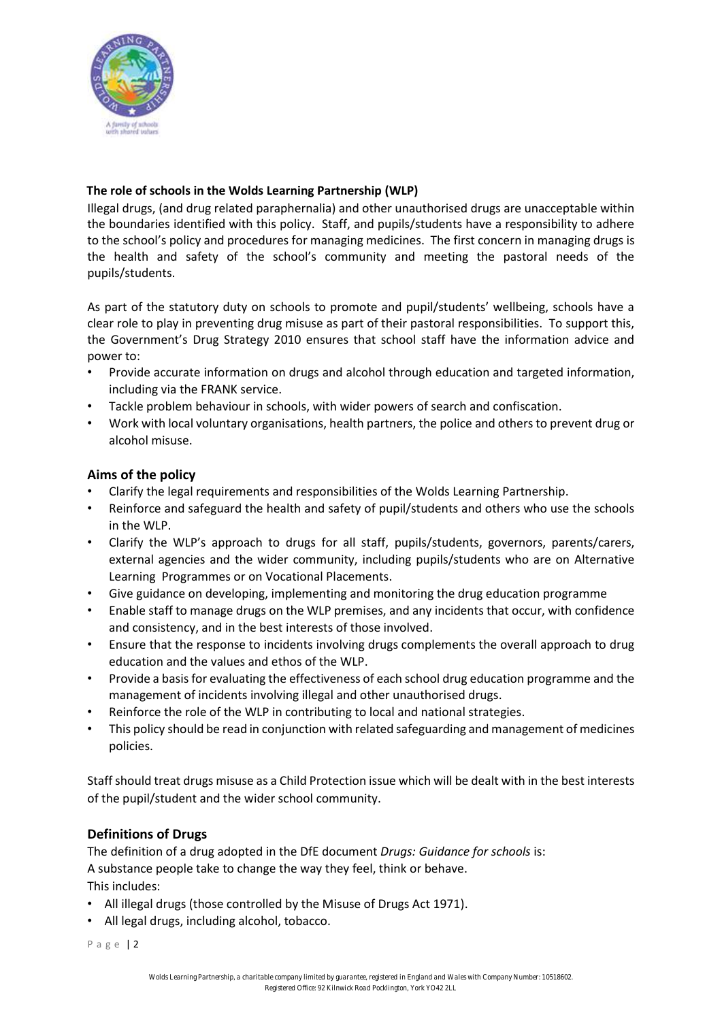

# **The role of schools in the Wolds Learning Partnership (WLP)**

Illegal drugs, (and drug related paraphernalia) and other unauthorised drugs are unacceptable within the boundaries identified with this policy. Staff, and pupils/students have a responsibility to adhere to the school's policy and procedures for managing medicines. The first concern in managing drugs is the health and safety of the school's community and meeting the pastoral needs of the pupils/students.

As part of the statutory duty on schools to promote and pupil/students' wellbeing, schools have a clear role to play in preventing drug misuse as part of their pastoral responsibilities. To support this, the Government's Drug Strategy 2010 ensures that school staff have the information advice and power to:

- Provide accurate information on drugs and alcohol through education and targeted information, including via the FRANK service.
- Tackle problem behaviour in schools, with wider powers of search and confiscation.
- Work with local voluntary organisations, health partners, the police and others to prevent drug or alcohol misuse.

# **Aims of the policy**

- Clarify the legal requirements and responsibilities of the Wolds Learning Partnership.
- Reinforce and safeguard the health and safety of pupil/students and others who use the schools in the WLP.
- Clarify the WLP's approach to drugs for all staff, pupils/students, governors, parents/carers, external agencies and the wider community, including pupils/students who are on Alternative Learning Programmes or on Vocational Placements.
- Give guidance on developing, implementing and monitoring the drug education programme
- Enable staff to manage drugs on the WLP premises, and any incidents that occur, with confidence and consistency, and in the best interests of those involved.
- Ensure that the response to incidents involving drugs complements the overall approach to drug education and the values and ethos of the WLP.
- Provide a basis for evaluating the effectiveness of each school drug education programme and the management of incidents involving illegal and other unauthorised drugs.
- Reinforce the role of the WLP in contributing to local and national strategies.
- This policy should be read in conjunction with related safeguarding and management of medicines policies.

Staff should treat drugs misuse as a Child Protection issue which will be dealt with in the best interests of the pupil/student and the wider school community.

# **Definitions of Drugs**

The definition of a drug adopted in the DfE document *Drugs: Guidance for schools* is: A substance people take to change the way they feel, think or behave. This includes:

- All illegal drugs (those controlled by the Misuse of Drugs Act 1971).
- All legal drugs, including alcohol, tobacco.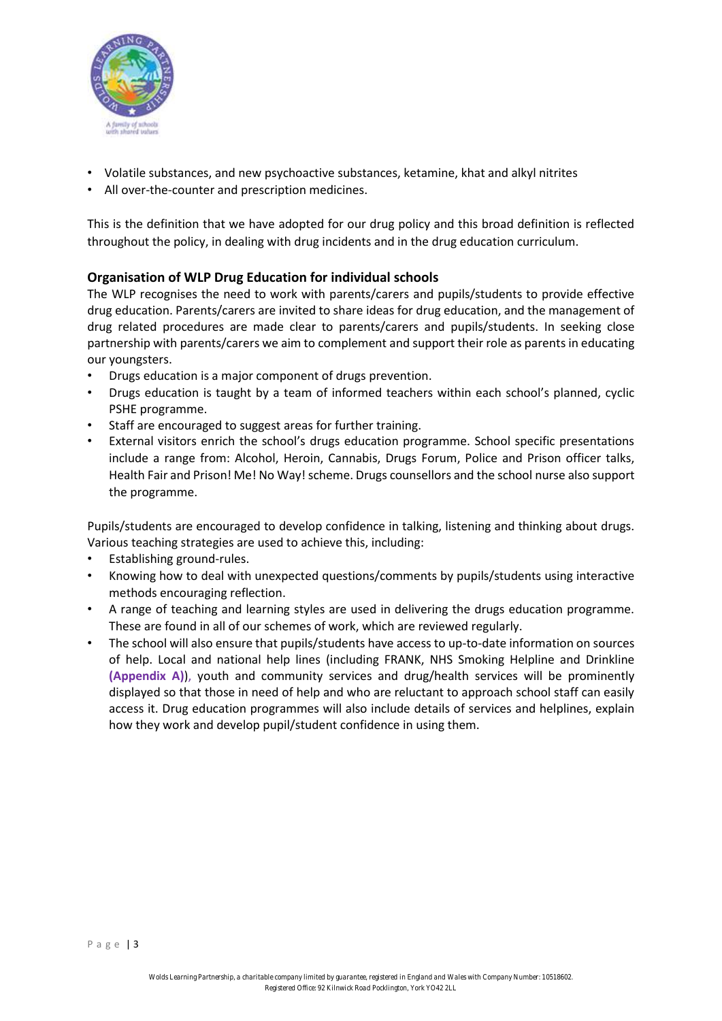

- Volatile substances, and new psychoactive substances, ketamine, khat and alkyl nitrites
- All over-the-counter and prescription medicines.

This is the definition that we have adopted for our drug policy and this broad definition is reflected throughout the policy, in dealing with drug incidents and in the drug education curriculum.

# **Organisation of WLP Drug Education for individual schools**

The WLP recognises the need to work with parents/carers and pupils/students to provide effective drug education. Parents/carers are invited to share ideas for drug education, and the management of drug related procedures are made clear to parents/carers and pupils/students. In seeking close partnership with parents/carers we aim to complement and support their role as parents in educating our youngsters.

- Drugs education is a major component of drugs prevention.
- Drugs education is taught by a team of informed teachers within each school's planned, cyclic PSHE programme.
- Staff are encouraged to suggest areas for further training.
- External visitors enrich the school's drugs education programme. School specific presentations include a range from: Alcohol, Heroin, Cannabis, Drugs Forum, Police and Prison officer talks, Health Fair and Prison! Me! No Way! scheme. Drugs counsellors and the school nurse also support the programme.

Pupils/students are encouraged to develop confidence in talking, listening and thinking about drugs. Various teaching strategies are used to achieve this, including:

- Establishing ground‐rules.
- Knowing how to deal with unexpected questions/comments by pupils/students using interactive methods encouraging reflection.
- A range of teaching and learning styles are used in delivering the drugs education programme. These are found in all of our schemes of work, which are reviewed regularly.
- The school will also ensure that pupils/students have access to up-to-date information on sources of help. Local and national help lines (including FRANK, NHS Smoking Helpline and Drinkline **(Appendix A)**), youth and community services and drug/health services will be prominently displayed so that those in need of help and who are reluctant to approach school staff can easily access it. Drug education programmes will also include details of services and helplines, explain how they work and develop pupil/student confidence in using them.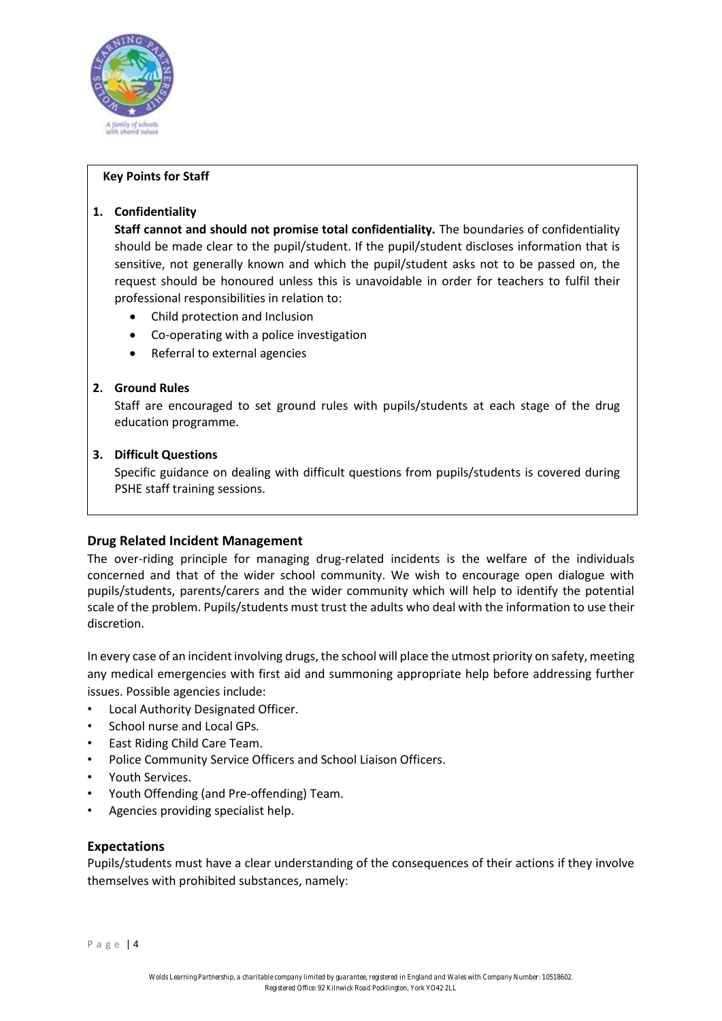

#### **Key Points for Staff**

# **1. Confidentiality**

**Staff cannot and should not promise total confidentiality.** The boundaries of confidentiality should be made clear to the pupil/student. If the pupil/student discloses information that is sensitive, not generally known and which the pupil/student asks not to be passed on, the request should be honoured unless this is unavoidable in order for teachers to fulfil their professional responsibilities in relation to:

- Child protection and Inclusion
- Co‐operating with a police investigation
- Referral to external agencies

# **2. Ground Rules**

Staff are encouraged to set ground rules with pupils/students at each stage of the drug education programme.

#### **3. Difficult Questions**

Specific guidance on dealing with difficult questions from pupils/students is covered during PSHE staff training sessions.

# **Drug Related Incident Management**

The over-riding principle for managing drug-related incidents is the welfare of the individuals concerned and that of the wider school community. We wish to encourage open dialogue with pupils/students, parents/carers and the wider community which will help to identify the potential scale of the problem. Pupils/students must trust the adults who deal with the information to use their discretion.

In every case of an incident involving drugs, the school will place the utmost priority on safety, meeting any medical emergencies with first aid and summoning appropriate help before addressing further issues. Possible agencies include:

- Local Authority Designated Officer.
- School nurse and Local GPs.
- East Riding Child Care Team.
- Police Community Service Officers and School Liaison Officers.
- Youth Services.
- Youth Offending (and Pre‐offending) Team.
- Agencies providing specialist help.

# **Expectations**

Pupils/students must have a clear understanding of the consequences of their actions if they involve themselves with prohibited substances, namely:

Page | 4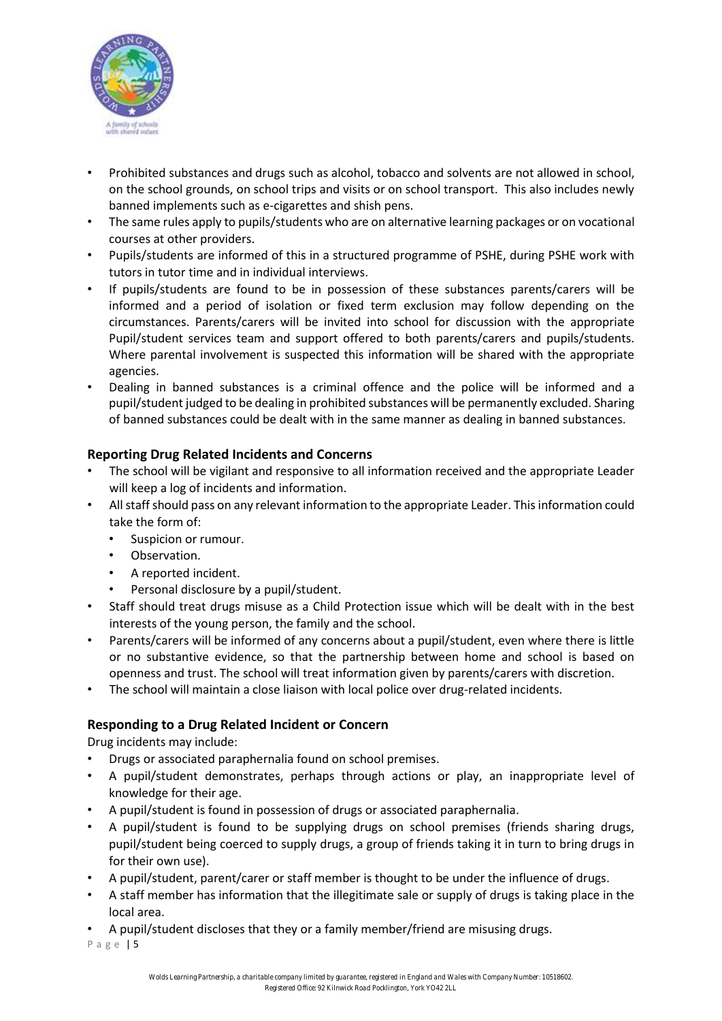

- Prohibited substances and drugs such as alcohol, tobacco and solvents are not allowed in school, on the school grounds, on school trips and visits or on school transport. This also includes newly banned implements such as e‐cigarettes and shish pens.
- The same rules apply to pupils/students who are on alternative learning packages or on vocational courses at other providers.
- Pupils/students are informed of this in a structured programme of PSHE, during PSHE work with tutors in tutor time and in individual interviews.
- If pupils/students are found to be in possession of these substances parents/carers will be informed and a period of isolation or fixed term exclusion may follow depending on the circumstances. Parents/carers will be invited into school for discussion with the appropriate Pupil/student services team and support offered to both parents/carers and pupils/students. Where parental involvement is suspected this information will be shared with the appropriate agencies.
- Dealing in banned substances is a criminal offence and the police will be informed and a pupil/student judged to be dealing in prohibited substances will be permanently excluded. Sharing of banned substances could be dealt with in the same manner as dealing in banned substances.

# **Reporting Drug Related Incidents and Concerns**

- The school will be vigilant and responsive to all information received and the appropriate Leader will keep a log of incidents and information.
- All staff should pass on any relevant information to the appropriate Leader. This information could take the form of:
	- Suspicion or rumour.
	- Observation.
	- A reported incident.
	- Personal disclosure by a pupil/student.
- Staff should treat drugs misuse as a Child Protection issue which will be dealt with in the best interests of the young person, the family and the school.
- Parents/carers will be informed of any concerns about a pupil/student, even where there is little or no substantive evidence, so that the partnership between home and school is based on openness and trust. The school will treat information given by parents/carers with discretion.
- The school will maintain a close liaison with local police over drug-related incidents.

# **Responding to a Drug Related Incident or Concern**

Drug incidents may include:

- Drugs or associated paraphernalia found on school premises.
- A pupil/student demonstrates, perhaps through actions or play, an inappropriate level of knowledge for their age.
- A pupil/student is found in possession of drugs or associated paraphernalia.
- A pupil/student is found to be supplying drugs on school premises (friends sharing drugs, pupil/student being coerced to supply drugs, a group of friends taking it in turn to bring drugs in for their own use).
- A pupil/student, parent/carer or staff member is thought to be under the influence of drugs.
- A staff member has information that the illegitimate sale or supply of drugs is taking place in the local area.
- A pupil/student discloses that they or a family member/friend are misusing drugs.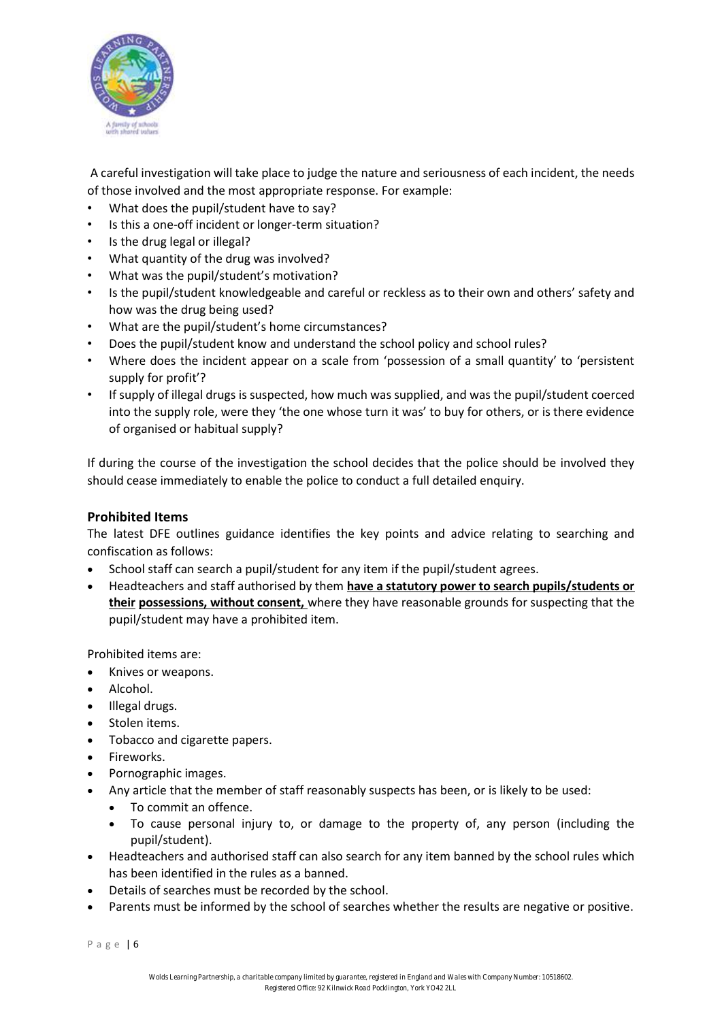

A careful investigation will take place to judge the nature and seriousness of each incident, the needs of those involved and the most appropriate response. For example:

- What does the pupil/student have to say?
- Is this a one-off incident or longer-term situation?
- Is the drug legal or illegal?
- What quantity of the drug was involved?
- What was the pupil/student's motivation?
- Is the pupil/student knowledgeable and careful or reckless as to their own and others' safety and how was the drug being used?
- What are the pupil/student's home circumstances?
- Does the pupil/student know and understand the school policy and school rules?
- Where does the incident appear on a scale from 'possession of a small quantity' to 'persistent supply for profit'?
- If supply of illegal drugs is suspected, how much was supplied, and was the pupil/student coerced into the supply role, were they 'the one whose turn it was' to buy for others, or is there evidence of organised or habitual supply?

If during the course of the investigation the school decides that the police should be involved they should cease immediately to enable the police to conduct a full detailed enquiry.

# **Prohibited Items**

The latest DFE outlines guidance identifies the key points and advice relating to searching and confiscation as follows:

- School staff can search a pupil/student for any item if the pupil/student agrees.
- Headteachers and staff authorised by them **have a statutory power to search pupils/students or their possessions, without consent,** where they have reasonable grounds for suspecting that the pupil/student may have a prohibited item.

Prohibited items are:

- Knives or weapons.
- Alcohol.
- Illegal drugs.
- Stolen items.
- Tobacco and cigarette papers.
- Fireworks.
- Pornographic images.
- Any article that the member of staff reasonably suspects has been, or is likely to be used:
	- To commit an offence.
	- To cause personal injury to, or damage to the property of, any person (including the pupil/student).
- Headteachers and authorised staff can also search for any item banned by the school rules which has been identified in the rules as a banned.
- Details of searches must be recorded by the school.
- Parents must be informed by the school of searches whether the results are negative or positive.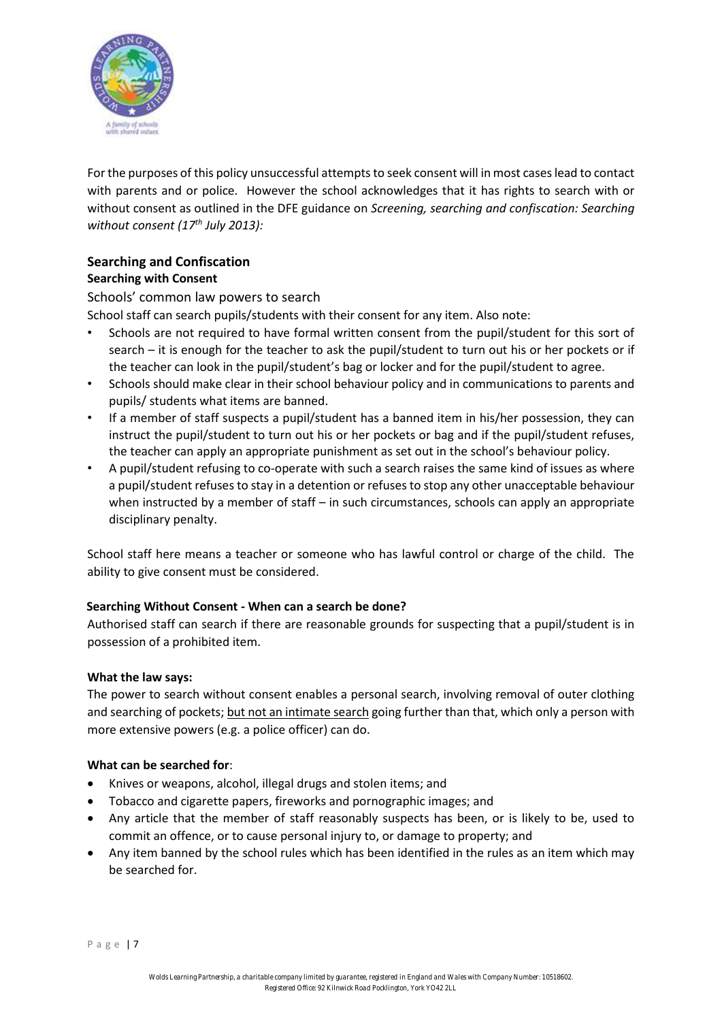

For the purposes of this policy unsuccessful attempts to seek consent will in most cases lead to contact with parents and or police. However the school acknowledges that it has rights to search with or without consent as outlined in the DFE guidance on *Screening, searching and confiscation: Searching without consent (17th July 2013):* 

# **Searching and Confiscation Searching with Consent**

Schools' common law powers to search

- School staff can search pupils/students with their consent for any item. Also note:
- Schools are not required to have formal written consent from the pupil/student for this sort of search – it is enough for the teacher to ask the pupil/student to turn out his or her pockets or if the teacher can look in the pupil/student's bag or locker and for the pupil/student to agree.
- Schools should make clear in their school behaviour policy and in communications to parents and pupils/ students what items are banned.
- If a member of staff suspects a pupil/student has a banned item in his/her possession, they can instruct the pupil/student to turn out his or her pockets or bag and if the pupil/student refuses, the teacher can apply an appropriate punishment as set out in the school's behaviour policy.
- A pupil/student refusing to co-operate with such a search raises the same kind of issues as where a pupil/student refuses to stay in a detention or refuses to stop any other unacceptable behaviour when instructed by a member of staff – in such circumstances, schools can apply an appropriate disciplinary penalty.

School staff here means a teacher or someone who has lawful control or charge of the child. The ability to give consent must be considered.

# **Searching Without Consent - When can a search be done?**

Authorised staff can search if there are reasonable grounds for suspecting that a pupil/student is in possession of a prohibited item.

# **What the law says:**

The power to search without consent enables a personal search, involving removal of outer clothing and searching of pockets; but not an intimate search going further than that, which only a person with more extensive powers (e.g. a police officer) can do.

# **What can be searched for**:

- Knives or weapons, alcohol, illegal drugs and stolen items; and
- Tobacco and cigarette papers, fireworks and pornographic images; and
- Any article that the member of staff reasonably suspects has been, or is likely to be, used to commit an offence, or to cause personal injury to, or damage to property; and
- Any item banned by the school rules which has been identified in the rules as an item which may be searched for.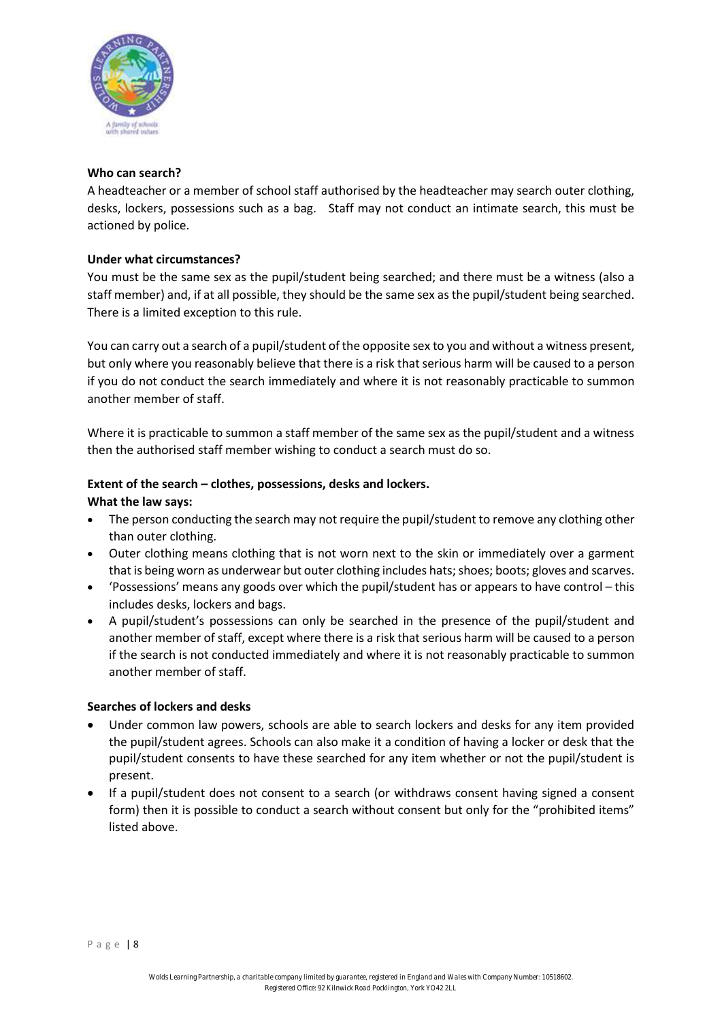

#### **Who can search?**

A headteacher or a member of school staff authorised by the headteacher may search outer clothing, desks, lockers, possessions such as a bag. Staff may not conduct an intimate search, this must be actioned by police.

#### **Under what circumstances?**

You must be the same sex as the pupil/student being searched; and there must be a witness (also a staff member) and, if at all possible, they should be the same sex as the pupil/student being searched. There is a limited exception to this rule.

You can carry out a search of a pupil/student of the opposite sex to you and without a witness present, but only where you reasonably believe that there is a risk that serious harm will be caused to a person if you do not conduct the search immediately and where it is not reasonably practicable to summon another member of staff.

Where it is practicable to summon a staff member of the same sex as the pupil/student and a witness then the authorised staff member wishing to conduct a search must do so.

#### **Extent of the search – clothes, possessions, desks and lockers.**

#### **What the law says:**

- The person conducting the search may not require the pupil/student to remove any clothing other than outer clothing.
- Outer clothing means clothing that is not worn next to the skin or immediately over a garment that is being worn as underwear but outer clothing includes hats; shoes; boots; gloves and scarves.
- 'Possessions' means any goods over which the pupil/student has or appears to have control this includes desks, lockers and bags.
- A pupil/student's possessions can only be searched in the presence of the pupil/student and another member of staff, except where there is a risk that serious harm will be caused to a person if the search is not conducted immediately and where it is not reasonably practicable to summon another member of staff.

#### **Searches of lockers and desks**

- Under common law powers, schools are able to search lockers and desks for any item provided the pupil/student agrees. Schools can also make it a condition of having a locker or desk that the pupil/student consents to have these searched for any item whether or not the pupil/student is present.
- If a pupil/student does not consent to a search (or withdraws consent having signed a consent form) then it is possible to conduct a search without consent but only for the "prohibited items" listed above.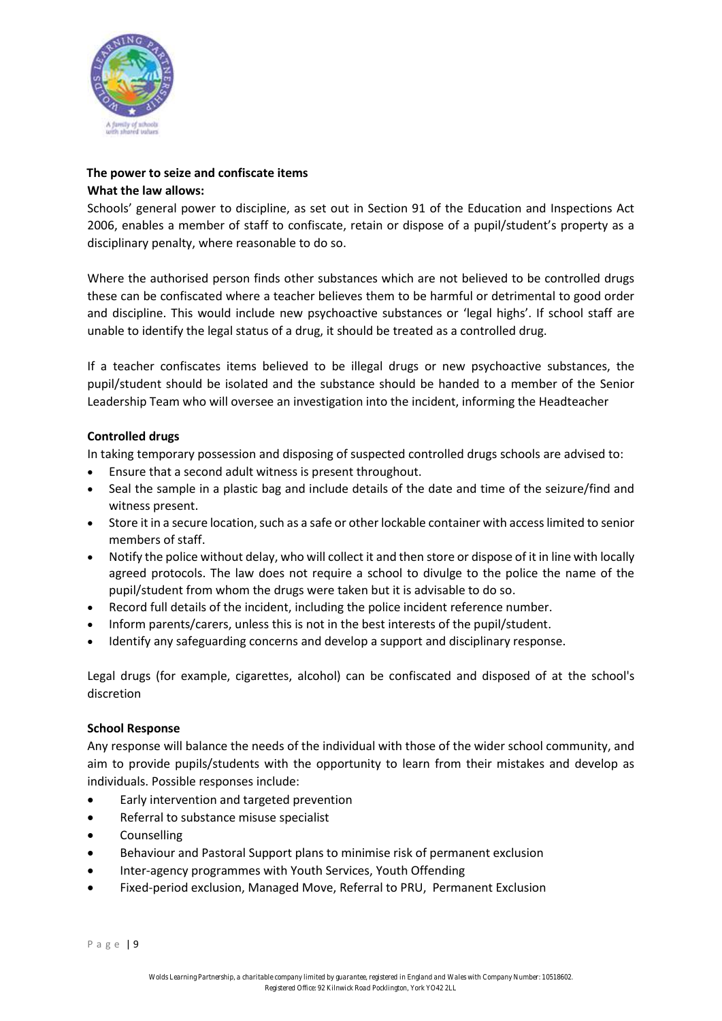

# **The power to seize and confiscate items What the law allows:**

Schools' general power to discipline, as set out in Section 91 of the Education and Inspections Act 2006, enables a member of staff to confiscate, retain or dispose of a pupil/student's property as a disciplinary penalty, where reasonable to do so.

Where the authorised person finds other substances which are not believed to be controlled drugs these can be confiscated where a teacher believes them to be harmful or detrimental to good order and discipline. This would include new psychoactive substances or 'legal highs'. If school staff are unable to identify the legal status of a drug, it should be treated as a controlled drug.

If a teacher confiscates items believed to be illegal drugs or new psychoactive substances, the pupil/student should be isolated and the substance should be handed to a member of the Senior Leadership Team who will oversee an investigation into the incident, informing the Headteacher

# **Controlled drugs**

In taking temporary possession and disposing of suspected controlled drugs schools are advised to:

- Ensure that a second adult witness is present throughout.
- Seal the sample in a plastic bag and include details of the date and time of the seizure/find and witness present.
- Store it in a secure location, such as a safe or other lockable container with access limited to senior members of staff.
- Notify the police without delay, who will collect it and then store or dispose of it in line with locally agreed protocols. The law does not require a school to divulge to the police the name of the pupil/student from whom the drugs were taken but it is advisable to do so.
- Record full details of the incident, including the police incident reference number.
- Inform parents/carers, unless this is not in the best interests of the pupil/student.
- Identify any safeguarding concerns and develop a support and disciplinary response.

Legal drugs (for example, cigarettes, alcohol) can be confiscated and disposed of at the school's discretion

# **School Response**

Any response will balance the needs of the individual with those of the wider school community, and aim to provide pupils/students with the opportunity to learn from their mistakes and develop as individuals. Possible responses include:

- Early intervention and targeted prevention
- Referral to substance misuse specialist
- **Counselling**
- Behaviour and Pastoral Support plans to minimise risk of permanent exclusion
- Inter-agency programmes with Youth Services, Youth Offending
- Fixed‐period exclusion, Managed Move, Referral to PRU, Permanent Exclusion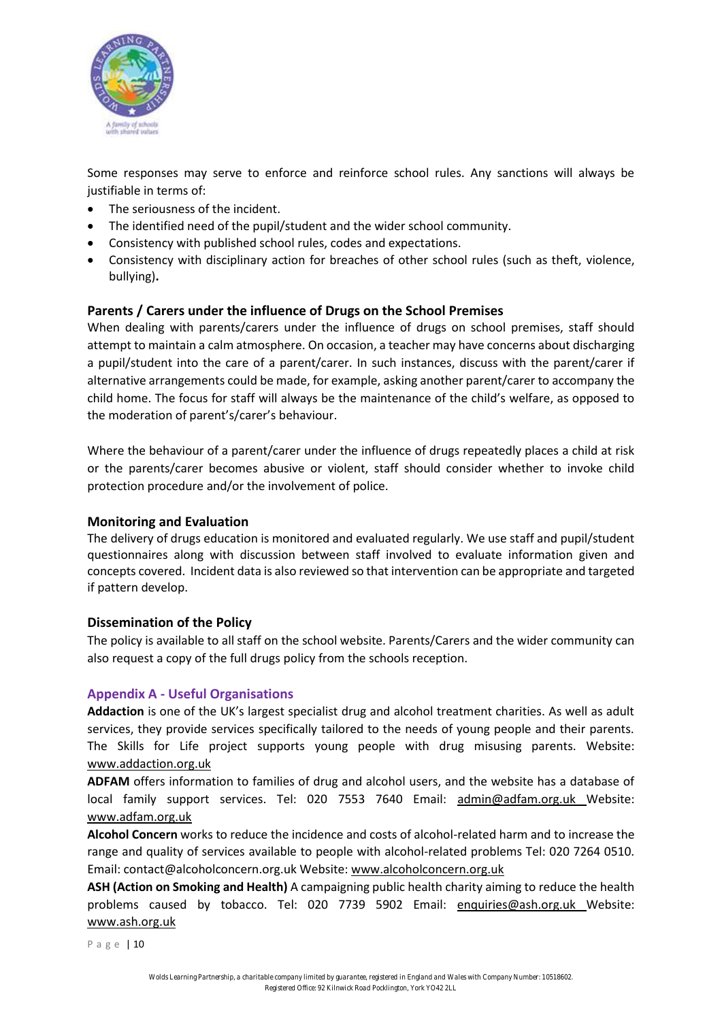

Some responses may serve to enforce and reinforce school rules. Any sanctions will always be justifiable in terms of:

- The seriousness of the incident.
- The identified need of the pupil/student and the wider school community.
- Consistency with published school rules, codes and expectations.
- Consistency with disciplinary action for breaches of other school rules (such as theft, violence, bullying)**.**

# **Parents / Carers under the influence of Drugs on the School Premises**

When dealing with parents/carers under the influence of drugs on school premises, staff should attempt to maintain a calm atmosphere. On occasion, a teacher may have concerns about discharging a pupil/student into the care of a parent/carer. In such instances, discuss with the parent/carer if alternative arrangements could be made, for example, asking another parent/carer to accompany the child home. The focus for staff will always be the maintenance of the child's welfare, as opposed to the moderation of parent's/carer's behaviour.

Where the behaviour of a parent/carer under the influence of drugs repeatedly places a child at risk or the parents/carer becomes abusive or violent, staff should consider whether to invoke child protection procedure and/or the involvement of police.

# **Monitoring and Evaluation**

The delivery of drugs education is monitored and evaluated regularly. We use staff and pupil/student questionnaires along with discussion between staff involved to evaluate information given and concepts covered. Incident data is also reviewed so that intervention can be appropriate and targeted if pattern develop.

# **Dissemination of the Policy**

The policy is available to all staff on the school website. Parents/Carers and the wider community can also request a copy of the full drugs policy from the schools reception.

# **Appendix A ‐ Useful Organisations**

**Addaction** is one of the UK's largest specialist drug and alcohol treatment charities. As well as adult services, they provide services specifically tailored to the needs of young people and their parents. The Skills for Life project supports young people with drug misusing parents. Website: www.addaction.org.uk

**ADFAM** offers information to families of drug and alcohol users, and the website has a database of local family support services. Tel: 020 7553 7640 Email: admin@adfam.org.uk Website: www.adfam.org.uk

**Alcohol Concern** works to reduce the incidence and costs of alcohol‐related harm and to increase the range and quality of services available to people with alcohol-related problems Tel: 020 7264 0510. Email: contact@alcoholconcern.org.uk Website: www.alcoholconcern.org.uk

**ASH (Action on Smoking and Health)** A campaigning public health charity aiming to reduce the health problems caused by tobacco. Tel: 020 7739 5902 Email: enquiries@ash.org.uk Website: www.ash.org.uk